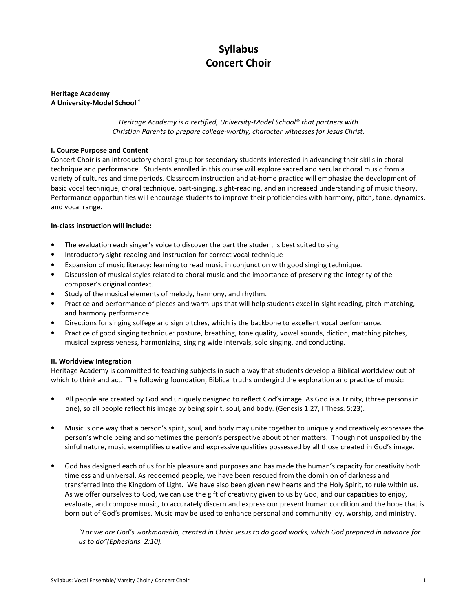# Syllabus Concert Choir

Heritage Academy A University-Model School ®

> Heritage Academy is a certified, University-Model School® that partners with Christian Parents to prepare college-worthy, character witnesses for Jesus Christ.

# I. Course Purpose and Content

Concert Choir is an introductory choral group for secondary students interested in advancing their skills in choral technique and performance. Students enrolled in this course will explore sacred and secular choral music from a variety of cultures and time periods. Classroom instruction and at-home practice will emphasize the development of basic vocal technique, choral technique, part-singing, sight-reading, and an increased understanding of music theory. Performance opportunities will encourage students to improve their proficiencies with harmony, pitch, tone, dynamics, and vocal range.

# In-class instruction will include:

- The evaluation each singer's voice to discover the part the student is best suited to sing
- Introductory sight-reading and instruction for correct vocal technique
- Expansion of music literacy: learning to read music in conjunction with good singing technique.
- Discussion of musical styles related to choral music and the importance of preserving the integrity of the composer's original context.
- Study of the musical elements of melody, harmony, and rhythm.
- Practice and performance of pieces and warm-ups that will help students excel in sight reading, pitch-matching, and harmony performance.
- Directions for singing solfege and sign pitches, which is the backbone to excellent vocal performance.
- Practice of good singing technique: posture, breathing, tone quality, vowel sounds, diction, matching pitches, musical expressiveness, harmonizing, singing wide intervals, solo singing, and conducting.

# II. Worldview Integration

Heritage Academy is committed to teaching subjects in such a way that students develop a Biblical worldview out of which to think and act. The following foundation, Biblical truths undergird the exploration and practice of music:

- All people are created by God and uniquely designed to reflect God's image. As God is a Trinity, (three persons in one), so all people reflect his image by being spirit, soul, and body. (Genesis 1:27, I Thess. 5:23).
- Music is one way that a person's spirit, soul, and body may unite together to uniquely and creatively expresses the person's whole being and sometimes the person's perspective about other matters. Though not unspoiled by the sinful nature, music exemplifies creative and expressive qualities possessed by all those created in God's image.
- God has designed each of us for his pleasure and purposes and has made the human's capacity for creativity both timeless and universal. As redeemed people, we have been rescued from the dominion of darkness and transferred into the Kingdom of Light. We have also been given new hearts and the Holy Spirit, to rule within us. As we offer ourselves to God, we can use the gift of creativity given to us by God, and our capacities to enjoy, evaluate, and compose music, to accurately discern and express our present human condition and the hope that is born out of God's promises. Music may be used to enhance personal and community joy, worship, and ministry.

"For we are God's workmanship, created in Christ Jesus to do good works, which God prepared in advance for us to do"(Ephesians. 2:10).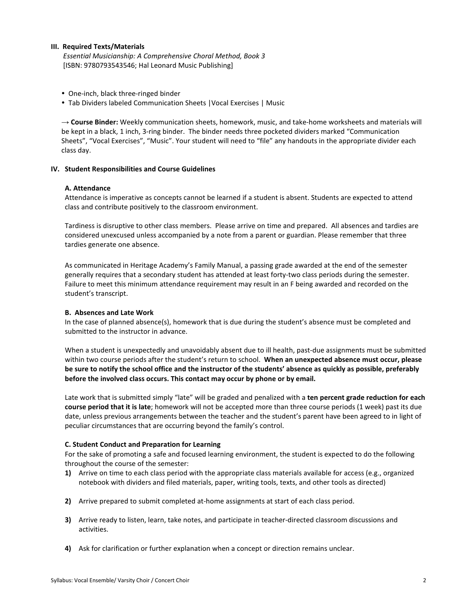# III. Required Texts/Materials

 Essential Musicianship: A Comprehensive Choral Method, Book 3 [ISBN: 9780793543546; Hal Leonard Music Publishing]

- One-inch, black three-ringed binder
- Tab Dividers labeled Communication Sheets |Vocal Exercises | Music

 $\rightarrow$  Course Binder: Weekly communication sheets, homework, music, and take-home worksheets and materials will be kept in a black, 1 inch, 3-ring binder. The binder needs three pocketed dividers marked "Communication Sheets", "Vocal Exercises", "Music". Your student will need to "file" any handouts in the appropriate divider each class day.

# IV. Student Responsibilities and Course Guidelines

# A. Attendance

Attendance is imperative as concepts cannot be learned if a student is absent. Students are expected to attend class and contribute positively to the classroom environment.

Tardiness is disruptive to other class members. Please arrive on time and prepared. All absences and tardies are considered unexcused unless accompanied by a note from a parent or guardian. Please remember that three tardies generate one absence.

As communicated in Heritage Academy's Family Manual, a passing grade awarded at the end of the semester generally requires that a secondary student has attended at least forty-two class periods during the semester. Failure to meet this minimum attendance requirement may result in an F being awarded and recorded on the student's transcript.

# B. Absences and Late Work

In the case of planned absence(s), homework that is due during the student's absence must be completed and submitted to the instructor in advance.

When a student is unexpectedly and unavoidably absent due to ill health, past-due assignments must be submitted within two course periods after the student's return to school. When an unexpected absence must occur, please be sure to notify the school office and the instructor of the students' absence as quickly as possible, preferably before the involved class occurs. This contact may occur by phone or by email.

Late work that is submitted simply "late" will be graded and penalized with a ten percent grade reduction for each course period that it is late; homework will not be accepted more than three course periods (1 week) past its due date, unless previous arrangements between the teacher and the student's parent have been agreed to in light of peculiar circumstances that are occurring beyond the family's control.

# C. Student Conduct and Preparation for Learning

For the sake of promoting a safe and focused learning environment, the student is expected to do the following throughout the course of the semester:

- 1) Arrive on time to each class period with the appropriate class materials available for access (e.g., organized notebook with dividers and filed materials, paper, writing tools, texts, and other tools as directed)
- 2) Arrive prepared to submit completed at-home assignments at start of each class period.
- 3) Arrive ready to listen, learn, take notes, and participate in teacher-directed classroom discussions and activities.
- 4) Ask for clarification or further explanation when a concept or direction remains unclear.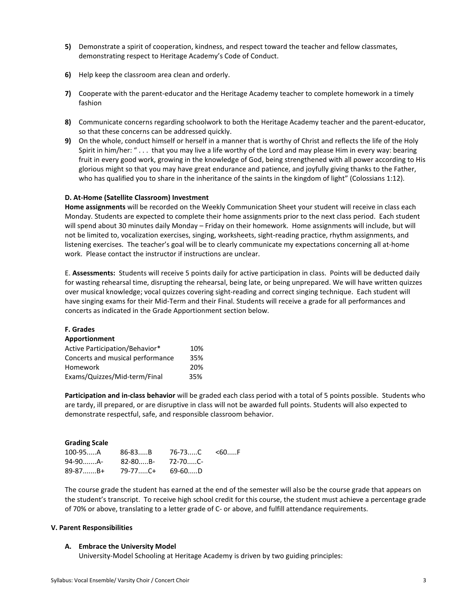- 5) Demonstrate a spirit of cooperation, kindness, and respect toward the teacher and fellow classmates, demonstrating respect to Heritage Academy's Code of Conduct.
- 6) Help keep the classroom area clean and orderly.
- 7) Cooperate with the parent-educator and the Heritage Academy teacher to complete homework in a timely fashion
- 8) Communicate concerns regarding schoolwork to both the Heritage Academy teacher and the parent-educator, so that these concerns can be addressed quickly.
- 9) On the whole, conduct himself or herself in a manner that is worthy of Christ and reflects the life of the Holy Spirit in him/her: " . . . that you may live a life worthy of the Lord and may please Him in every way: bearing fruit in every good work, growing in the knowledge of God, being strengthened with all power according to His glorious might so that you may have great endurance and patience, and joyfully giving thanks to the Father, who has qualified you to share in the inheritance of the saints in the kingdom of light" (Colossians 1:12).

# D. At-Home (Satellite Classroom) Investment

Home assignments will be recorded on the Weekly Communication Sheet your student will receive in class each Monday. Students are expected to complete their home assignments prior to the next class period. Each student will spend about 30 minutes daily Monday – Friday on their homework. Home assignments will include, but will not be limited to, vocalization exercises, singing, worksheets, sight-reading practice, rhythm assignments, and listening exercises. The teacher's goal will be to clearly communicate my expectations concerning all at-home work. Please contact the instructor if instructions are unclear.

E. Assessments: Students will receive 5 points daily for active participation in class. Points will be deducted daily for wasting rehearsal time, disrupting the rehearsal, being late, or being unprepared. We will have written quizzes over musical knowledge; vocal quizzes covering sight-reading and correct singing technique. Each student will have singing exams for their Mid-Term and their Final. Students will receive a grade for all performances and concerts as indicated in the Grade Apportionment section below.

#### F. Grades Apportionment

| Active Participation/Behavior*   | 10% |
|----------------------------------|-----|
| Concerts and musical performance | 35% |
| Homework                         | 20% |
| Exams/Quizzes/Mid-term/Final     | 35% |

Participation and in-class behavior will be graded each class period with a total of 5 points possible. Students who are tardy, ill prepared, or are disruptive in class will not be awarded full points. Students will also expected to demonstrate respectful, safe, and responsible classroom behavior.

# Grading Scale

| $100-95$ A 86-83B 76-73C <60F |  |  |
|-------------------------------|--|--|
| 94-90A- 82-80B- 72-70C-       |  |  |
| 89-87B+ 79-77C+ 69-60D        |  |  |

The course grade the student has earned at the end of the semester will also be the course grade that appears on the student's transcript. To receive high school credit for this course, the student must achieve a percentage grade of 70% or above, translating to a letter grade of C- or above, and fulfill attendance requirements.

# V. Parent Responsibilities

# A. Embrace the University Model

University-Model Schooling at Heritage Academy is driven by two guiding principles: